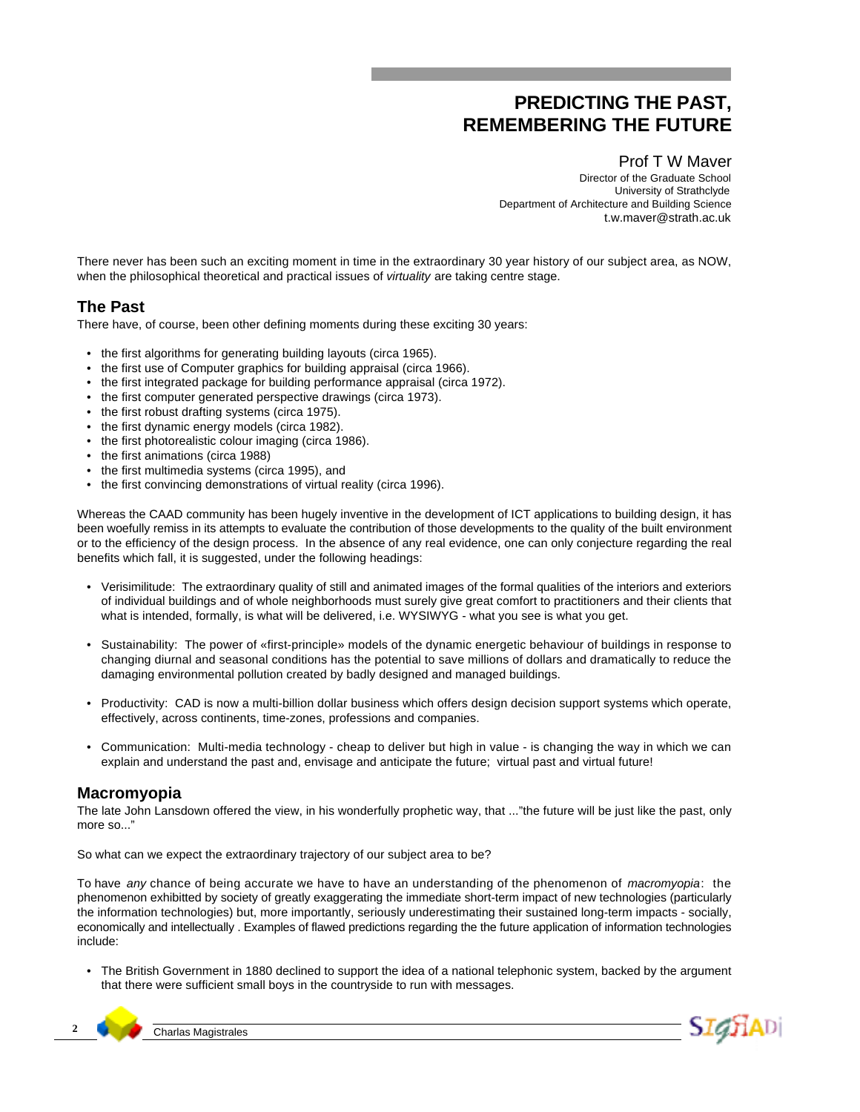## **PREDICTING THE PAST, REMEMBERING THE FUTURE**

Prof T W Maver Director of the Graduate School University of Strathclyde Department of Architecture and Building Science t.w.maver@strath.ac.uk

There never has been such an exciting moment in time in the extraordinary 30 year history of our subject area, as NOW, when the philosophical theoretical and practical issues of *virtuality* are taking centre stage.

## **The Past**

There have, of course, been other defining moments during these exciting 30 years:

- the first algorithms for generating building layouts (circa 1965).
- the first use of Computer graphics for building appraisal (circa 1966).
- the first integrated package for building performance appraisal (circa 1972).
- the first computer generated perspective drawings (circa 1973).
- the first robust drafting systems (circa 1975).
- the first dynamic energy models (circa 1982).
- the first photorealistic colour imaging (circa 1986).
- the first animations (circa 1988)
- the first multimedia systems (circa 1995), and
- the first convincing demonstrations of virtual reality (circa 1996).

Whereas the CAAD community has been hugely inventive in the development of ICT applications to building design, it has been woefully remiss in its attempts to evaluate the contribution of those developments to the quality of the built environment or to the efficiency of the design process. In the absence of any real evidence, one can only conjecture regarding the real benefits which fall, it is suggested, under the following headings:

- Verisimilitude: The extraordinary quality of still and animated images of the formal qualities of the interiors and exteriors of individual buildings and of whole neighborhoods must surely give great comfort to practitioners and their clients that what is intended, formally, is what will be delivered, i.e. WYSIWYG - what you see is what you get.
- Sustainability: The power of «first-principle» models of the dynamic energetic behaviour of buildings in response to changing diurnal and seasonal conditions has the potential to save millions of dollars and dramatically to reduce the damaging environmental pollution created by badly designed and managed buildings.
- Productivity: CAD is now a multi-billion dollar business which offers design decision support systems which operate, effectively, across continents, time-zones, professions and companies.
- Communication: Multi-media technology cheap to deliver but high in value is changing the way in which we can explain and understand the past and, envisage and anticipate the future; virtual past and virtual future!

## **Macromyopia**

The late John Lansdown offered the view, in his wonderfully prophetic way, that ..."the future will be just like the past, only more so..."

So what can we expect the extraordinary trajectory of our subject area to be?

To have *any* chance of being accurate we have to have an understanding of the phenomenon of *macromyopia*: the phenomenon exhibitted by society of greatly exaggerating the immediate short-term impact of new technologies (particularly the information technologies) but, more importantly, seriously underestimating their sustained long-term impacts - socially, economically and intellectually . Examples of flawed predictions regarding the the future application of information technologies include:

• The British Government in 1880 declined to support the idea of a national telephonic system, backed by the argument that there were sufficient small boys in the countryside to run with messages.